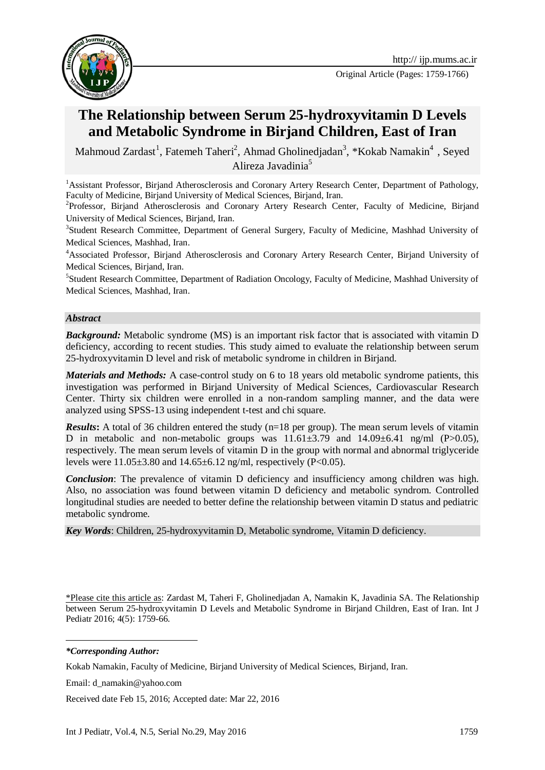

Original Article (Pages: 1759-1766)

# **The Relationship between Serum 25-hydroxyvitamin D Levels and Metabolic Syndrome in Birjand Children, East of Iran**

Mahmoud Zardast<sup>1</sup>, Fatemeh Taheri<sup>2</sup>, Ahmad Gholinedjadan<sup>3</sup>, \*Kokab Namakin<sup>4</sup>, Seyed Alireza Javadinia<sup>5</sup>

<sup>1</sup> Assistant Professor, Birjand Atherosclerosis and Coronary Artery Research Center, Department of Pathology, Faculty of Medicine, Birjand University of Medical Sciences, Birjand, Iran.

<sup>2</sup>Professor, Birjand Atherosclerosis and Coronary Artery Research Center, Faculty of Medicine, Birjand University of Medical Sciences, Birjand, Iran.

<sup>3</sup>Student Research Committee, Department of General Surgery, Faculty of Medicine, Mashhad University of Medical Sciences, Mashhad, Iran.

<sup>4</sup>Associated Professor, Birjand Atherosclerosis and Coronary Artery Research Center, Birjand University of Medical Sciences, Birjand, Iran.

<sup>5</sup>Student Research Committee, Department of Radiation Oncology, Faculty of Medicine, Mashhad University of Medical Sciences, Mashhad, Iran.

#### *Abstract*

**Background:** Metabolic syndrome (MS) is an important risk factor that is associated with vitamin D deficiency, according to recent studies. This study aimed to evaluate the relationship between serum 25-hydroxyvitamin D level and risk of metabolic syndrome in children in Birjand.

*Materials and Methods:* A case-control study on 6 to 18 years old metabolic syndrome patients, this investigation was performed in Birjand University of Medical Sciences, Cardiovascular Research Center. Thirty six children were enrolled in a non-random sampling manner, and the data were analyzed using SPSS-13 using independent t-test and chi square.

*Results*: A total of 36 children entered the study (n=18 per group). The mean serum levels of vitamin D in metabolic and non-metabolic groups was  $11.61\pm3.79$  and  $14.09\pm6.41$  ng/ml (P $>0.05$ ), respectively. The mean serum levels of vitamin D in the group with normal and abnormal triglyceride levels were  $11.05\pm3.80$  and  $14.65\pm6.12$  ng/ml, respectively (P<0.05).

*Conclusion*: The prevalence of vitamin D deficiency and insufficiency among children was high. Also, no association was found between vitamin D deficiency and metabolic syndrom. Controlled longitudinal studies are needed to better define the relationship between vitamin D status and pediatric metabolic syndrome.

*Key Words*: Children, 25-hydroxyvitamin D, Metabolic syndrome, Vitamin D deficiency.

\*Please cite this article as: Zardast M, Taheri F, Gholinedjadan A, Namakin K, Javadinia SA. The Relationship between Serum 25-hydroxyvitamin D Levels and Metabolic Syndrome in Birjand Children, East of Iran. Int J Pediatr 2016; 4(5): 1759-66.

-*\*Corresponding Author:*

Kokab Namakin, Faculty of Medicine, Birjand University of Medical Sciences, Birjand, Iran.

Email: d\_namakin@yahoo.com

Received date Feb 15, 2016; Accepted date: Mar 22, 2016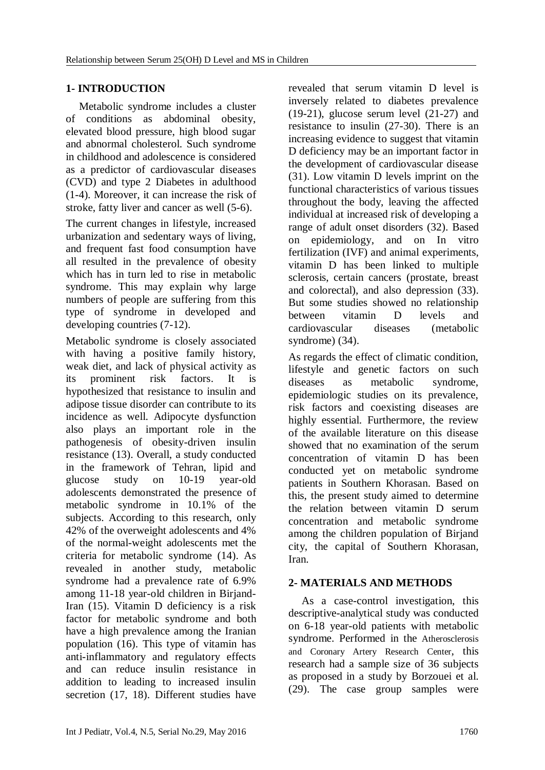# **1- INTRODUCTION**

Metabolic syndrome includes a cluster of conditions as abdominal obesity, elevated blood pressure, high blood sugar and abnormal cholesterol. Such syndrome in childhood and adolescence is considered as a predictor of cardiovascular diseases (CVD) and type 2 Diabetes in adulthood (1-4). Moreover, it can increase the risk of stroke, fatty liver and cancer as well (5-6).

The current changes in lifestyle, increased urbanization and sedentary ways of living, and frequent fast food consumption have all resulted in the prevalence of obesity which has in turn led to rise in metabolic syndrome. This may explain why large numbers of people are suffering from this type of syndrome in developed and developing countries (7-12).

Metabolic syndrome is closely associated with having a positive family history, weak diet, and lack of physical activity as its prominent risk factors. It is hypothesized that resistance to insulin and adipose tissue disorder can contribute to its incidence as well. Adipocyte dysfunction also plays an important role in the pathogenesis of obesity-driven insulin resistance (13). Overall, a study conducted in the framework of Tehran, lipid and glucose study on 10-19 year-old adolescents demonstrated the presence of metabolic syndrome in 10.1% of the subjects. According to this research, only 42% of the overweight adolescents and 4% of the normal-weight adolescents met the criteria for metabolic syndrome (14). As revealed in another study, metabolic syndrome had a prevalence rate of 6.9% among 11-18 year-old children in Birjand-Iran (15). Vitamin D deficiency is a risk factor for metabolic syndrome and both have a high prevalence among the Iranian population (16). This type of vitamin has anti-inflammatory and regulatory effects and can reduce insulin resistance in addition to leading to increased insulin secretion (17, 18). Different studies have

revealed that serum vitamin D level is inversely related to diabetes prevalence (19-21), glucose serum level (21-27) and resistance to insulin (27-30). There is an increasing evidence to suggest that vitamin D deficiency may be an important factor in the development of cardiovascular disease (31). Low vitamin D levels imprint on the functional characteristics of various tissues throughout the body, leaving the affected individual at increased risk of developing a range of adult onset disorders (32). Based on epidemiology, and on In vitro fertilization (IVF) and animal experiments, vitamin D has been linked to multiple sclerosis, certain cancers (prostate, breast and colorectal), and also depression (33). But some studies showed no relationship between vitamin D levels and cardiovascular diseases (metabolic syndrome) (34).

As regards the effect of climatic condition, lifestyle and genetic factors on such diseases as metabolic syndrome, epidemiologic studies on its prevalence, risk factors and coexisting diseases are highly essential. Furthermore, the review of the available literature on this disease showed that no examination of the serum concentration of vitamin D has been conducted yet on metabolic syndrome patients in Southern Khorasan. Based on this, the present study aimed to determine the relation between vitamin D serum concentration and metabolic syndrome among the children population of Birjand city, the capital of Southern Khorasan, Iran.

# **2- MATERIALS AND METHODS**

As a case-control investigation, this descriptive-analytical study was conducted on 6-18 year-old patients with metabolic syndrome. Performed in the Atherosclerosis and Coronary Artery Research Center, this research had a sample size of 36 subjects as proposed in a study by Borzouei et al. (29). The case group samples were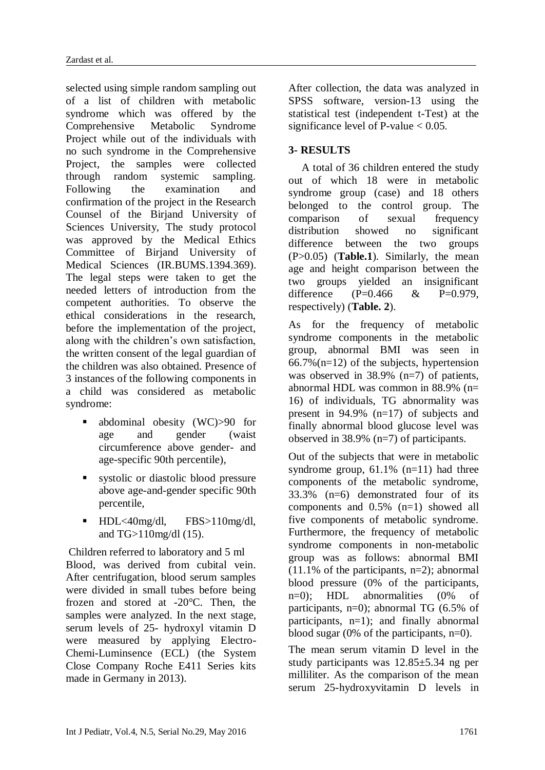selected using simple random sampling out of a list of children with metabolic syndrome which was offered by the Comprehensive Metabolic Syndrome Project while out of the individuals with no such syndrome in the Comprehensive Project, the samples were collected through random systemic sampling. Following the examination and confirmation of the project in the Research Counsel of the Birjand University of Sciences University, The study protocol was approved by the Medical Ethics Committee of Birjand University of Medical Sciences (IR.BUMS.1394.369). The legal steps were taken to get the needed letters of introduction from the competent authorities. To observe the ethical considerations in the research, before the implementation of the project, along with the children's own satisfaction, the written consent of the legal guardian of the children was also obtained. Presence of 3 instances of the following components in a child was considered as metabolic syndrome:

- abdominal obesity (WC)>90 for age and gender (waist circumference above gender- and age-specific 90th percentile),
- systolic or diastolic blood pressure above age-and-gender specific 90th percentile,
- HDL<40mg/dl, FBS>110mg/dl, and TG>110mg/dl (15).

Children referred to laboratory and 5 ml Blood, was derived from cubital vein. After centrifugation, blood serum samples were divided in small tubes before being frozen and stored at -20°C. Then, the samples were analyzed. In the next stage, serum levels of 25- hydroxyl vitamin D were measured by applying Electro-Chemi-Luminsence (ECL) (the System Close Company Roche E411 Series kits made in Germany in 2013).

After collection, the data was analyzed in SPSS software, version-13 using the statistical test (independent t-Test) at the significance level of P-value  $< 0.05$ .

#### **3- RESULTS**

A total of 36 children entered the study out of which 18 were in metabolic syndrome group (case) and 18 others belonged to the control group. The comparison of sexual frequency distribution showed no significant difference between the two groups (P>0.05) (**Table.1**). Similarly, the mean age and height comparison between the two groups yielded an insignificant difference  $(P=0.466 \& P=0.979$ , respectively) (**Table. 2**).

As for the frequency of metabolic syndrome components in the metabolic group, abnormal BMI was seen in  $66.7\%$  (n=12) of the subjects, hypertension was observed in 38.9% (n=7) of patients, abnormal HDL was common in  $88.9\%$  (n= 16) of individuals, TG abnormality was present in 94.9% (n=17) of subjects and finally abnormal blood glucose level was observed in 38.9% (n=7) of participants.

Out of the subjects that were in metabolic syndrome group,  $61.1\%$  (n=11) had three components of the metabolic syndrome, 33.3% (n=6) demonstrated four of its components and 0.5% (n=1) showed all five components of metabolic syndrome. Furthermore, the frequency of metabolic syndrome components in non-metabolic group was as follows: abnormal BMI  $(11.1\% \text{ of the participants, n=2)}$ ; abnormal blood pressure (0% of the participants, n=0); HDL abnormalities (0% of participants, n=0); abnormal TG (6.5% of participants, n=1); and finally abnormal blood sugar (0% of the participants, n=0).

The mean serum vitamin D level in the study participants was 12.85±5.34 ng per milliliter. As the comparison of the mean serum 25-hydroxyvitamin D levels in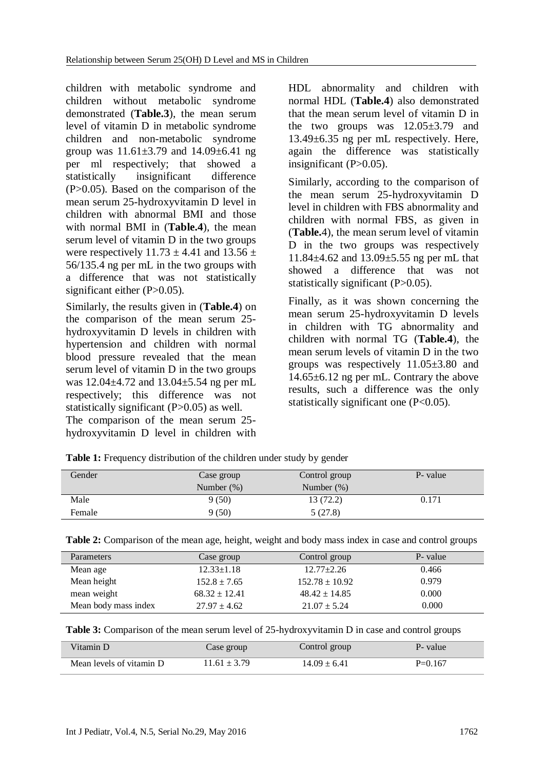children with metabolic syndrome and children without metabolic syndrome demonstrated (**Table.3**), the mean serum level of vitamin D in metabolic syndrome children and non-metabolic syndrome group was  $11.61 \pm 3.79$  and  $14.09 \pm 6.41$  ng per ml respectively; that showed a statistically insignificant difference  $(P>0.05)$ . Based on the comparison of the mean serum 25-hydroxyvitamin D level in children with abnormal BMI and those with normal BMI in (**Table.4**), the mean serum level of vitamin D in the two groups were respectively  $11.73 \pm 4.41$  and  $13.56 \pm$ 56/135.4 ng per mL in the two groups with a difference that was not statistically significant either  $(P>0.05)$ .

Similarly, the results given in (**Table.4**) on the comparison of the mean serum 25 hydroxyvitamin D levels in children with hypertension and children with normal blood pressure revealed that the mean serum level of vitamin D in the two groups was 12.04±4.72 and 13.04±5.54 ng per mL respectively; this difference was not statistically significant (P>0.05) as well.

The comparison of the mean serum 25 hydroxyvitamin D level in children with HDL abnormality and children with normal HDL (**Table.4**) also demonstrated that the mean serum level of vitamin D in the two groups was  $12.05\pm3.79$  and 13.49±6.35 ng per mL respectively. Here, again the difference was statistically insignificant  $(P>0.05)$ .

Similarly, according to the comparison of the mean serum 25-hydroxyvitamin D level in children with FBS abnormality and children with normal FBS, as given in (**Table.**4), the mean serum level of vitamin D in the two groups was respectively 11.84±4.62 and 13.09±5.55 ng per mL that showed a difference that was not statistically significant (P>0.05).

Finally, as it was shown concerning the mean serum 25-hydroxyvitamin D levels in children with TG abnormality and children with normal TG (**Table.4**), the mean serum levels of vitamin D in the two groups was respectively 11.05±3.80 and 14.65±6.12 ng per mL. Contrary the above results, such a difference was the only statistically significant one (P<0.05).

| Gender | Case group<br>Number $(\%)$ | Control group<br>Number $(\%)$ | P- value |
|--------|-----------------------------|--------------------------------|----------|
| Male   | 9(50)                       | 13 (72.2)                      | 0.171    |
| Female | 9(50)                       | 5(27.8)                        |          |

Table 1: Frequency distribution of the children under study by gender

|  | Table 2: Comparison of the mean age, height, weight and body mass index in case and control groups |  |  |  |  |
|--|----------------------------------------------------------------------------------------------------|--|--|--|--|
|  |                                                                                                    |  |  |  |  |

| Parameters           | Case group        | Control group      | P- value |
|----------------------|-------------------|--------------------|----------|
| Mean age             | $12.33 \pm 1.18$  | $12.77 \pm 2.26$   | 0.466    |
| Mean height          | $152.8 \pm 7.65$  | $152.78 \pm 10.92$ | 0.979    |
| mean weight          | $68.32 \pm 12.41$ | $48.42 \pm 14.85$  | 0.000    |
| Mean body mass index | $27.97 \pm 4.62$  | $21.07 \pm 5.24$   | 0.000    |

| Table 3: Comparison of the mean serum level of 25-hydroxyvitamin D in case and control groups |  |  |
|-----------------------------------------------------------------------------------------------|--|--|
|                                                                                               |  |  |

| Vitamin D                | Case group       | Control group    | P- value  |
|--------------------------|------------------|------------------|-----------|
| Mean levels of vitamin D | $11.61 \pm 3.79$ | $14.09 \pm 6.41$ | $P=0.167$ |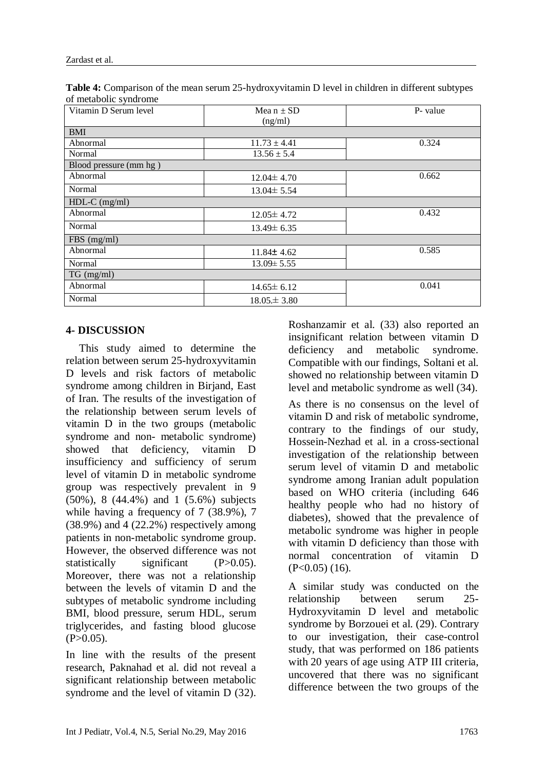| Table 4: Comparison of the mean serum 25-hydroxyvitamin D level in children in different subtypes |
|---------------------------------------------------------------------------------------------------|
| of metabolic syndrome                                                                             |

| Vitamin D Serum level  | Mea $n \pm SD$<br>(ng/ml) | P- value |
|------------------------|---------------------------|----------|
| <b>BMI</b>             |                           |          |
| Abnormal               | $11.73 \pm 4.41$          | 0.324    |
| Normal                 | $13.56 \pm 5.4$           |          |
| Blood pressure (mm hg) |                           |          |
| Abnormal               | $12.04 \pm 4.70$          | 0.662    |
| Normal                 | $13.04 \pm 5.54$          |          |
| $HDL-C$ (mg/ml)        |                           |          |
| Abnormal               | $12.05 \pm 4.72$          | 0.432    |
| Normal                 | $13.49 \pm 6.35$          |          |
| FBS (mg/ml)            |                           |          |
| Abnormal               | $11.84 \pm 4.62$          | 0.585    |
| Normal                 | $13.09 \pm 5.55$          |          |
| $TG$ (mg/ml)           |                           |          |
| Abnormal               | $14.65 \pm 6.12$          | 0.041    |
| Normal                 | $18.05 \pm 3.80$          |          |

#### **4- DISCUSSION**

This study aimed to determine the relation between serum 25-hydroxyvitamin D levels and risk factors of metabolic syndrome among children in Birjand, East of Iran. The results of the investigation of the relationship between serum levels of vitamin D in the two groups (metabolic syndrome and non- metabolic syndrome) showed that deficiency, vitamin D insufficiency and sufficiency of serum level of vitamin D in metabolic syndrome group was respectively prevalent in 9 (50%), 8 (44.4%) and 1 (5.6%) subjects while having a frequency of 7 (38.9%), 7 (38.9%) and 4 (22.2%) respectively among patients in non-metabolic syndrome group. However, the observed difference was not statistically significant (P>0.05). Moreover, there was not a relationship between the levels of vitamin D and the subtypes of metabolic syndrome including BMI, blood pressure, serum HDL, serum triglycerides, and fasting blood glucose  $(P>0.05)$ .

In line with the results of the present research, Paknahad et al. did not reveal a significant relationship between metabolic syndrome and the level of vitamin D (32). Roshanzamir et al. (33) also reported an insignificant relation between vitamin D deficiency and metabolic syndrome. Compatible with our findings, Soltani et al. showed no relationship between vitamin D level and metabolic syndrome as well (34).

As there is no consensus on the level of vitamin D and risk of metabolic syndrome, contrary to the findings of our study, Hossein-Nezhad et al. in a cross-sectional investigation of the relationship between serum level of vitamin D and metabolic syndrome among Iranian adult population based on WHO criteria (including 646 healthy people who had no history of diabetes), showed that the prevalence of metabolic syndrome was higher in people with vitamin D deficiency than those with normal concentration of vitamin D  $(P<0.05)$  (16).

A similar study was conducted on the relationship between serum 25- Hydroxyvitamin D level and metabolic syndrome by Borzouei et al. (29). Contrary to our investigation, their case-control study, that was performed on 186 patients with 20 years of age using ATP III criteria, uncovered that there was no significant difference between the two groups of the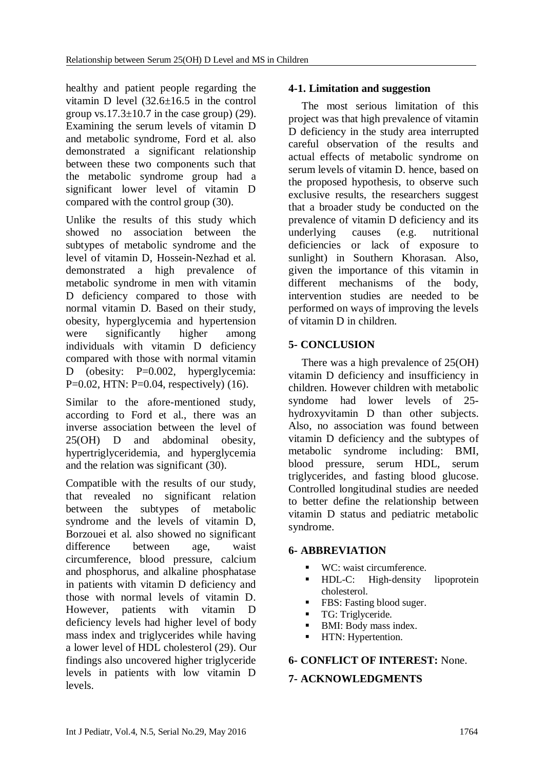healthy and patient people regarding the vitamin D level  $(32.6 \pm 16.5)$  in the control group vs.  $17.3 \pm 10.7$  in the case group) (29). Examining the serum levels of vitamin D and metabolic syndrome, Ford et al. also demonstrated a significant relationship between these two components such that the metabolic syndrome group had a significant lower level of vitamin D compared with the control group (30).

Unlike the results of this study which showed no association between the subtypes of metabolic syndrome and the level of vitamin D, Hossein-Nezhad et al. demonstrated a high prevalence of metabolic syndrome in men with vitamin D deficiency compared to those with normal vitamin D. Based on their study, obesity, hyperglycemia and hypertension were significantly higher among individuals with vitamin D deficiency compared with those with normal vitamin D (obesity: P=0.002, hyperglycemia: P=0.02, HTN: P=0.04, respectively) (16).

Similar to the afore-mentioned study, according to Ford et al., there was an inverse association between the level of 25(OH) D and abdominal obesity, hypertriglyceridemia, and hyperglycemia and the relation was significant (30).

Compatible with the results of our study, that revealed no significant relation between the subtypes of metabolic syndrome and the levels of vitamin D, Borzouei et al. also showed no significant difference between age, waist circumference, blood pressure, calcium and phosphorus, and alkaline phosphatase in patients with vitamin D deficiency and those with normal levels of vitamin D. However, patients with vitamin D deficiency levels had higher level of body mass index and triglycerides while having a lower level of HDL cholesterol (29). Our findings also uncovered higher triglyceride levels in patients with low vitamin D levels.

# **4-1. Limitation and suggestion**

The most serious limitation of this project was that high prevalence of vitamin D deficiency in the study area interrupted careful observation of the results and actual effects of metabolic syndrome on serum levels of vitamin D. hence, based on the proposed hypothesis, to observe such exclusive results, the researchers suggest that a broader study be conducted on the prevalence of vitamin D deficiency and its underlying causes (e.g. nutritional deficiencies or lack of exposure to sunlight) in Southern Khorasan. Also, given the importance of this vitamin in different mechanisms of the body, intervention studies are needed to be performed on ways of improving the levels of vitamin D in children.

# **5- CONCLUSION**

There was a high prevalence of 25(OH) vitamin D deficiency and insufficiency in children. However children with metabolic syndome had lower levels of 25 hydroxyvitamin D than other subjects. Also, no association was found between vitamin D deficiency and the subtypes of metabolic syndrome including: BMI, blood pressure, serum HDL, serum triglycerides, and fasting blood glucose. Controlled longitudinal studies are needed to better define the relationship between vitamin D status and pediatric metabolic syndrome.

#### **6- ABBREVIATION**

- WC: waist circumference.
- **HDL-C:** High-density lipoprotein cholesterol.
- FBS: Fasting blood suger.
- TG: Triglyceride.
- BMI: Body mass index.
- **HTN:** Hypertention.

# **6- CONFLICT OF INTEREST:** None.

# **7- ACKNOWLEDGMENTS**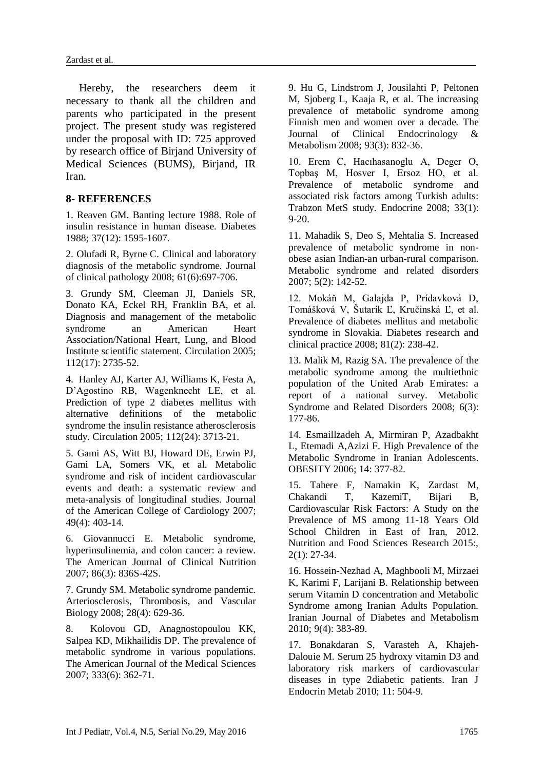Hereby, the researchers deem it necessary to thank all the children and parents who participated in the present project. The present study was registered under the proposal with ID: 725 approved by research office of Birjand University of Medical Sciences (BUMS), Birjand, IR Iran.

#### **8- REFERENCES**

1. Reaven GM. Banting lecture 1988. Role of insulin resistance in human disease. Diabetes 1988; 37(12): 1595-1607.

2. Olufadi R, Byrne C. Clinical and laboratory diagnosis of the metabolic syndrome. Journal of clinical pathology 2008; 61(6):697-706.

3. Grundy SM, Cleeman JI, Daniels SR, Donato KA, Eckel RH, Franklin BA, et al. Diagnosis and management of the metabolic syndrome an American Heart Association/National Heart, Lung, and Blood Institute scientific statement. Circulation 2005; 112(17): 2735-52.

4. Hanley AJ, Karter AJ, Williams K, Festa A, D'Agostino RB, Wagenknecht LE, et al. Prediction of type 2 diabetes mellitus with alternative definitions of the metabolic syndrome the insulin resistance atherosclerosis study. Circulation 2005; 112(24): 3713-21.

5. Gami AS, Witt BJ, Howard DE, Erwin PJ, Gami LA, Somers VK, et al. Metabolic syndrome and risk of incident cardiovascular events and death: a systematic review and meta-analysis of longitudinal studies. Journal of the American College of Cardiology 2007; 49(4): 403-14.

6. Giovannucci E. Metabolic syndrome, hyperinsulinemia, and colon cancer: a review. The American Journal of Clinical Nutrition 2007; 86(3): 836S-42S.

7. Grundy SM. Metabolic syndrome pandemic. Arteriosclerosis, Thrombosis, and Vascular Biology 2008; 28(4): 629-36.

8. Kolovou GD, Anagnostopoulou KK, Salpea KD, Mikhailidis DP. The prevalence of metabolic syndrome in various populations. The American Journal of the Medical Sciences 2007; 333(6): 362-71.

9. Hu G, Lindstrom J, Jousilahti P, Peltonen M, Sjoberg L, Kaaja R, et al. The increasing prevalence of metabolic syndrome among Finnish men and women over a decade. The Journal of Clinical Endocrinology & Metabolism 2008; 93(3): 832-36.

10. Erem C, Hacıhasanoglu A, Deger O, Topbaş M, Hosver I, Ersoz HO, et al. Prevalence of metabolic syndrome and associated risk factors among Turkish adults: Trabzon MetS study. Endocrine 2008; 33(1): 9-20.

11. Mahadik S, Deo S, Mehtalia S. Increased prevalence of metabolic syndrome in nonobese asian Indian-an urban-rural comparison. Metabolic syndrome and related disorders 2007; 5(2): 142-52.

12. Mokáň M, Galajda P, Prídavková D, Tomášková V, Šutarík Ľ, Kručinská Ľ, et al. Prevalence of diabetes mellitus and metabolic syndrome in Slovakia. Diabetes research and clinical practice 2008; 81(2): 238-42.

13. Malik M, Razig SA. The prevalence of the metabolic syndrome among the multiethnic population of the United Arab Emirates: a report of a national survey. Metabolic Syndrome and Related Disorders 2008; 6(3): 177-86.

14. Esmaillzadeh A, Mirmiran P, Azadbakht L, Etemadi A,Azizi F. High Prevalence of the Metabolic Syndrome in Iranian Adolescents. OBESITY 2006; 14: 377-82.

15. Tahere F, Namakin K, Zardast M, Chakandi T, KazemiT, Bijari B, Cardiovascular Risk Factors: A Study on the Prevalence of MS among 11-18 Years Old School Children in East of Iran, 2012. Nutrition and Food Sciences Research 2015:, 2(1): 27-34.

16. Hossein-Nezhad A, Maghbooli M, Mirzaei K, Karimi F, Larijani B. Relationship between serum Vitamin D concentration and Metabolic Syndrome among Iranian Adults Population. Iranian Journal of Diabetes and Metabolism 2010; 9(4): 383-89.

17. Bonakdaran S, Varasteh A, Khajeh-Dalouie M. Serum 25 hydroxy vitamin D3 and laboratory risk markers of cardiovascular diseases in type 2diabetic patients. Iran J Endocrin Metab 2010; 11: 504-9.